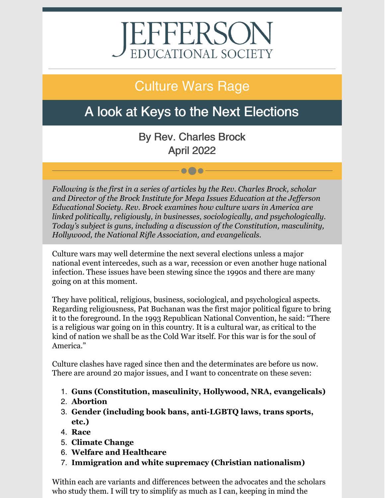# EFFERSON<br>EDUCATIONAL SOCIETY

## Culture Wars Rage

## A look at Keys to the Next Elections

By Rev. Charles Brock April 2022

 $\bullet\bullet\bullet$ 

*Following is the first in a series of articles by the Rev. Charles Brock, scholar and Director of the Brock Institute for Mega Issues Education at the Jef erson Educational Society. Rev. Brock examines how culture wars in America are linked politically, religiously, in businesses, sociologically, and psychologically. Today's subject is guns, including a discussion of the Constitution, masculinity, Hollywood, the National Rifle Association, and evangelicals.*

Culture wars may well determine the next several elections unless a major national event intercedes, such as a war, recession or even another huge national infection. These issues have been stewing since the 1990s and there are many going on at this moment.

They have political, religious, business, sociological, and psychological aspects. Regarding religiousness, Pat Buchanan was the first major political figure to bring it to the foreground. In the 1993 Republican National Convention, he said: "There is a religious war going on in this country. It is a cultural war, as critical to the kind of nation we shall be as the Cold War itself. For this war is for the soul of America."

Culture clashes have raged since then and the determinates are before us now. There are around 20 major issues, and I want to concentrate on these seven:

- 1. **Guns (Constitution, masculinity, Hollywood, NRA, evangelicals)**
- 2. **Abortion**
- 3. **Gender (including book bans, anti-LGBTQ laws, trans sports, etc.)**
- 4. **Race**
- 5. **Climate Change**
- 6. **Welfare and Healthcare**
- 7. **Immigration and white supremacy (Christian nationalism)**

Within each are variants and differences between the advocates and the scholars who study them. I will try to simplify as much as I can, keeping in mind the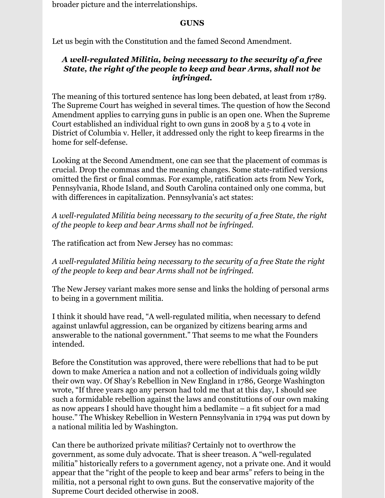broader picture and the interrelationships.

#### **GUNS**

Let us begin with the Constitution and the famed Second Amendment.

#### *A well-regulated Militia, being necessary to the security of a free State, the right of the people to keep and bear Arms, shall not be infringed.*

The meaning of this tortured sentence has long been debated, at least from 1789. The Supreme Court has weighed in several times. The question of how the Second Amendment applies to carrying guns in public is an open one. When the Supreme Court established an individual right to own guns in 2008 by a 5 to 4 vote in District of Columbia v. Heller, it addressed only the right to keep firearms in the home for self-defense.

Looking at the Second Amendment, one can see that the placement of commas is crucial. Drop the commas and the meaning changes. Some state-ratified versions omitted the first or final commas. For example, ratification acts from New York, Pennsylvania, Rhode Island, and South Carolina contained only one comma, but with differences in capitalization. Pennsylvania's act states:

*A well-regulated Militia being necessary to the security of a free State, the right of the people to keep and bear Arms shall not be infringed.*

The ratification act from New Jersey has no commas:

*A well-regulated Militia being necessary to the security of a free State the right of the people to keep and bear Arms shall not be infringed.*

The New Jersey variant makes more sense and links the holding of personal arms to being in a government militia.

I think it should have read, "A well-regulated militia, when necessary to defend against unlawful aggression, can be organized by citizens bearing arms and answerable to the national government." That seems to me what the Founders intended.

Before the Constitution was approved, there were rebellions that had to be put down to make America a nation and not a collection of individuals going wildly their own way. Of Shay's Rebellion in New England in 1786, George Washington wrote, "If three years ago any person had told me that at this day, I should see such a formidable rebellion against the laws and constitutions of our own making as now appears I should have thought him a bedlamite – a fit subject for a mad house." The Whiskey Rebellion in Western Pennsylvania in 1794 was put down by a national militia led by Washington.

Can there be authorized private militias? Certainly not to overthrow the government, as some duly advocate. That is sheer treason. A "well-regulated militia" historically refers to a government agency, not a private one. And it would appear that the "right of the people to keep and bear arms" refers to being in the militia, not a personal right to own guns. But the conservative majority of the Supreme Court decided otherwise in 2008.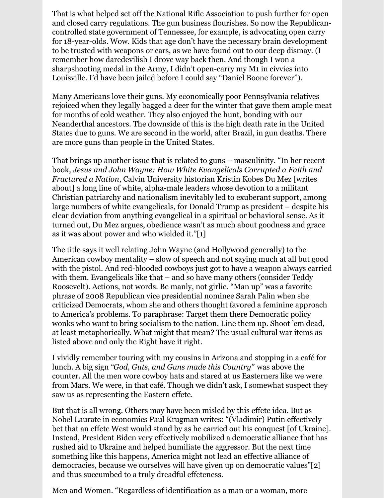That is what helped set off the National Rifle Association to push further for open and closed carry regulations. The gun business flourishes. So now the Republicancontrolled state government of Tennessee, for example, is advocating open carry for 18-year-olds. Wow. Kids that age don't have the necessary brain development to be trusted with weapons or cars, as we have found out to our deep dismay. (I remember how daredevilish I drove way back then. And though I won a sharpshooting medal in the Army, I didn't open-carry my M1 in civvies into Louisville. I'd have been jailed before I could say "Daniel Boone forever").

Many Americans love their guns. My economically poor Pennsylvania relatives rejoiced when they legally bagged a deer for the winter that gave them ample meat for months of cold weather. They also enjoyed the hunt, bonding with our Neanderthal ancestors. The downside of this is the high death rate in the United States due to guns. We are second in the world, after Brazil, in gun deaths. There are more guns than people in the United States.

That brings up another issue that is related to guns – masculinity. "In her recent book*, Jesus and John Wayne: How White Evangelicals Corrupted a Faith and Fractured a Nation*, Calvin University historian Kristin Kobes Du Mez [writes about] a long line of white, alpha-male leaders whose devotion to a militant Christian patriarchy and nationalism inevitably led to exuberant support, among large numbers of white evangelicals, for Donald Trump as president – despite his clear deviation from anything evangelical in a spiritual or behavioral sense. As it turned out, Du Mez argues, obedience wasn't as much about goodness and grace as it was about power and who wielded it."[1]

The title says it well relating John Wayne (and Hollywood generally) to the American cowboy mentality – slow of speech and not saying much at all but good with the pistol. And red-blooded cowboys just got to have a weapon always carried with them. Evangelicals like that – and so have many others (consider Teddy Roosevelt). Actions, not words. Be manly, not girlie. "Man up" was a favorite phrase of 2008 Republican vice presidential nominee Sarah Palin when she criticized Democrats, whom she and others thought favored a feminine approach to America's problems. To paraphrase: Target them there Democratic policy wonks who want to bring socialism to the nation. Line them up. Shoot 'em dead, at least metaphorically. What might that mean? The usual cultural war items as listed above and only the Right have it right.

I vividly remember touring with my cousins in Arizona and stopping in a café for lunch. A big sign *"God, Guts, and Guns made this Country"* was above the counter. All the men wore cowboy hats and stared at us Easterners like we were from Mars. We were, in that café. Though we didn't ask, I somewhat suspect they saw us as representing the Eastern effete.

But that is all wrong. Others may have been misled by this effete idea. But as Nobel Laurate in economics Paul Krugman writes: "(Vladimir) Putin effectively bet that an effete West would stand by as he carried out his conquest [of Ukraine]. Instead, President Biden very effectively mobilized a democratic alliance that has rushed aid to Ukraine and helped humiliate the aggressor. But the next time something like this happens, America might not lead an effective alliance of democracies, because we ourselves will have given up on democratic values"[2] and thus succumbed to a truly dreadful effeteness.

Men and Women. "Regardless of identification as a man or a woman, more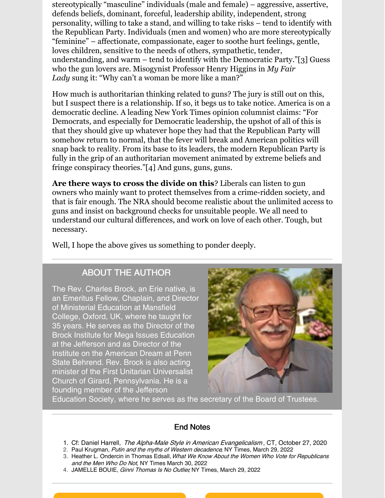stereotypically "masculine" individuals (male and female) – aggressive, assertive, defends beliefs, dominant, forceful, leadership ability, independent, strong personality, willing to take a stand, and willing to take risks – tend to identify with the Republican Party. Individuals (men and women) who are more stereotypically "feminine" – affectionate, compassionate, eager to soothe hurt feelings, gentle, loves children, sensitive to the needs of others, sympathetic, tender, understanding, and warm – tend to identify with the Democratic Party."[3] Guess who the gun lovers are. Misogynist Professor Henry Higgins in *My Fair Lady* sung it: "Why can't a woman be more like a man?"

How much is authoritarian thinking related to guns? The jury is still out on this, but I suspect there is a relationship. If so, it begs us to take notice. America is on a democratic decline. A leading New York Times opinion columnist claims: "For Democrats, and especially for Democratic leadership, the upshot of all of this is that they should give up whatever hope they had that the Republican Party will somehow return to normal, that the fever will break and American politics will snap back to reality. From its base to its leaders, the modern Republican Party is fully in the grip of an authoritarian movement animated by extreme beliefs and fringe conspiracy theories."[4] And guns, guns, guns.

**Are there ways to cross the divide on this**? Liberals can listen to gun owners who mainly want to protect themselves from a crime-ridden society, and that is fair enough. The NRA should become realistic about the unlimited access to guns and insist on background checks for unsuitable people. We all need to understand our cultural differences, and work on love of each other. Tough, but necessary.

Well, I hope the above gives us something to ponder deeply.

### ABOUT THE AUTHOR

The Rev. Charles Brock, an Erie native, is an Emeritus Fellow, Chaplain, and Director of Ministerial Education at Mansfield College, Oxford, UK, where he taught for 35 years. He serves as the Director of the Brock Institute for Mega Issues Education at the Jefferson and as Director of the Institute on the American Dream at Penn State Behrend. Rev. Brock is also acting minister of the First Unitarian Universalist Church of Girard, Pennsylvania. He is a founding member of the Jefferson



Education Society, where he serves as the secretary of the Board of Trustees.

#### End Notes

- 1. Cf: Daniel Harrell, The Alpha-Male Style in American Evangelicalism, CT, October 27, 2020
- 2. Paul Krugman, Putin and the myths of Western decadence, NY Times, March 29, 2022
- 3. Heather L. Ondercin in Thomas Edsall, What We Know About the Women Who Vote for Republicans and the Men Who Do Not, NY Times March 30, 2022
- 4. JAMELLE BOUIE, Ginni Thomas Is No Outlier, NY Times, March 29, 2022